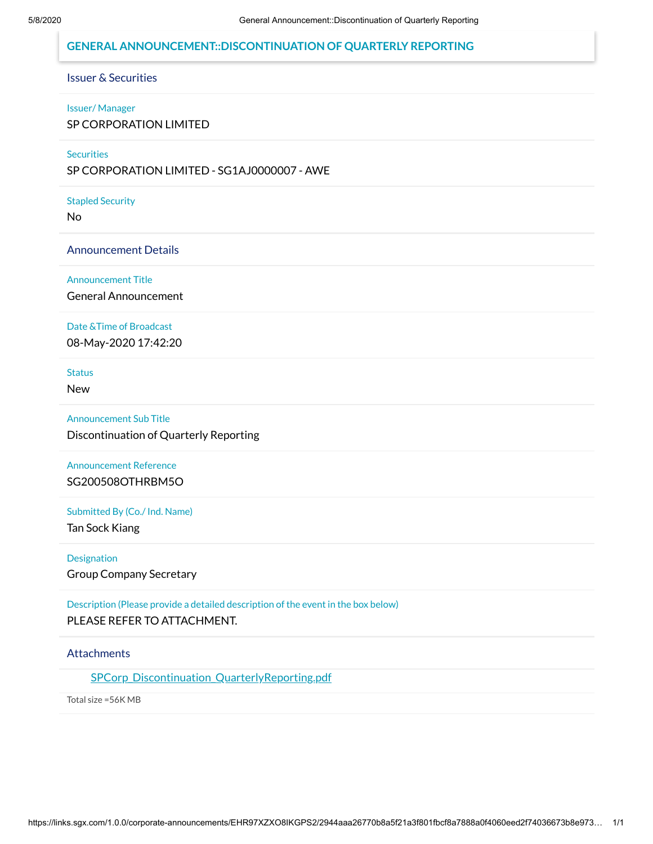### **GENERAL ANNOUNCEMENT::DISCONTINUATION OF QUARTERLY REPORTING**

## Issuer & Securities

#### Issuer/ Manager

SP CORPORATION LIMITED

#### **Securities**

SP CORPORATION LIMITED - SG1AJ0000007 - AWE

#### Stapled Security

No

#### Announcement Details

Announcement Title

General Announcement

#### Date &Time of Broadcast

08-May-2020 17:42:20

**Status** 

New

Announcement Sub Title Discontinuation of Quarterly Reporting

## Announcement Reference SG200508OTHRBM5O

Submitted By (Co./ Ind. Name)

Tan Sock Kiang

Designation

Group Company Secretary

## Description (Please provide a detailed description of the event in the box below) PLEASE REFER TO ATTACHMENT.

### **Attachments**

[SPCorp\\_Discontinuation\\_QuarterlyReporting.pdf](https://links.sgx.com/1.0.0/corporate-announcements/EHR97XZXO8IKGPS2/SPCorp_Discontinuation_QuarterlyReporting.pdf)

Total size =56K MB